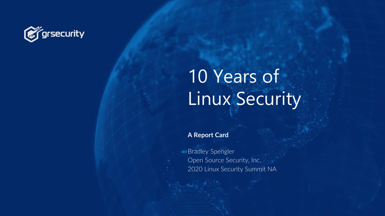

# 10 Years of Linux Security

**A Report Card**

Bradley Spengler Open Source Security, Inc. 2020 Linux Security Summit NA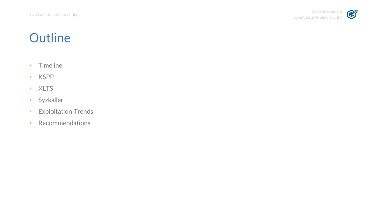### **Outline**

- Timeline
- KSPP
- XLTS
- Syzkaller
- Exploitation Trends
- Recommendations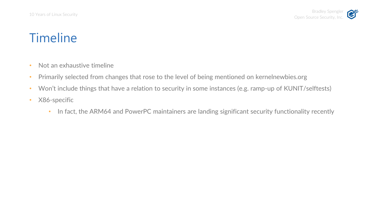- Not an exhaustive timeline
- Primarily selected from changes that rose to the level of being mentioned on kernelnewbies.org
- Won't include things that have a relation to security in some instances (e.g. ramp-up of KUNIT/selftests)
- X86-specific
	- In fact, the ARM64 and PowerPC maintainers are landing significant security functionality recently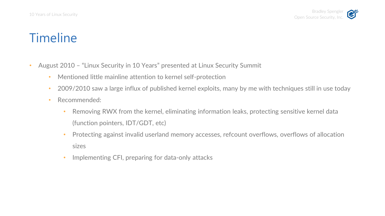- August 2010 "Linux Security in 10 Years" presented at Linux Security Summit
	- Mentioned little mainline attention to kernel self-protection
	- 2009/2010 saw a large influx of published kernel exploits, many by me with techniques still in use today
	- Recommended:
		- Removing RWX from the kernel, eliminating information leaks, protecting sensitive kernel data (function pointers, IDT/GDT, etc)
		- Protecting against invalid userland memory accesses, refcount overflows, overflows of allocation sizes
		- Implementing CFI, preparing for data-only attacks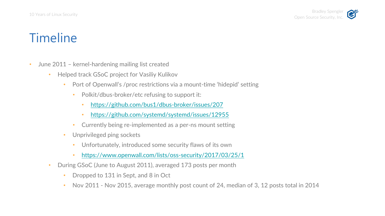

- June 2011 kernel-hardening mailing list created
	- Helped track GSoC project for Vasiliy Kulikov
		- Port of Openwall's /proc restrictions via a mount-time 'hidepid' setting
			- Polkit/dbus-broker/etc refusing to support it:
				- <https://github.com/bus1/dbus-broker/issues/207>
				- <https://github.com/systemd/systemd/issues/12955>
			- Currently being re-implemented as a per-ns mount setting
		- Unprivileged ping sockets
			- Unfortunately, introduced some security flaws of its own
			- <https://www.openwall.com/lists/oss-security/2017/03/25/1>
	- During GSoC (June to August 2011), averaged 173 posts per month
		- Dropped to 131 in Sept, and 8 in Oct
		- Nov 2011 Nov 2015, average monthly post count of 24, median of 3, 12 posts total in 2014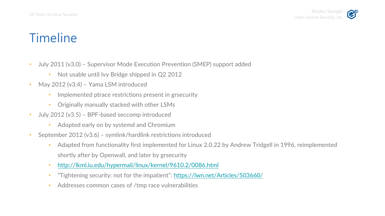- July 2011 (v3.0) Supervisor Mode Execution Prevention (SMEP) support added
	- Not usable until Ivy Bridge shipped in Q2 2012
- May 2012 (v3.4) Yama LSM introduced
	- Implemented ptrace restrictions present in grsecurity
	- Originally manually stacked with other LSMs
- July 2012 (v3.5) BPF-based seccomp introduced
	- Adopted early on by systemd and Chromium
- September 2012 (v3.6) symlink/hardlink restrictions introduced
	- Adapted from functionality first implemented for Linux 2.0.22 by Andrew Tridgell in 1996, reimplemented shortly after by Openwall, and later by grsecurity
	- <http://lkml.iu.edu/hypermail/linux/kernel/9610.2/0086.html>
	- "Tightening security: not for the impatient": <https://lwn.net/Articles/503660/>
	- Addresses common cases of /tmp race vulnerabilities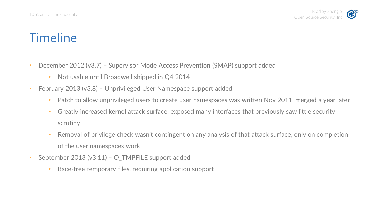- December 2012 (v3.7) Supervisor Mode Access Prevention (SMAP) support added
	- Not usable until Broadwell shipped in Q4 2014
- February 2013 (v3.8) Unprivileged User Namespace support added
	- Patch to allow unprivileged users to create user namespaces was written Nov 2011, merged a year later
	- Greatly increased kernel attack surface, exposed many interfaces that previously saw little security scrutiny
	- Removal of privilege check wasn't contingent on any analysis of that attack surface, only on completion of the user namespaces work
- September 2013 (v3.11) O\_TMPFILE support added
	- Race-free temporary files, requiring application support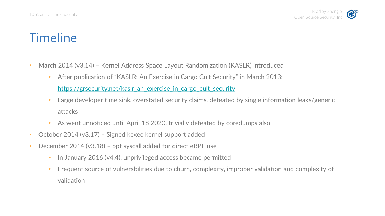- March 2014 (v3.14) Kernel Address Space Layout Randomization (KASLR) introduced
	- After publication of "KASLR: An Exercise in Cargo Cult Security" in March 2013:
		- [https://grsecurity.net/kaslr\\_an\\_exercise\\_in\\_cargo\\_cult\\_security](https://grsecurity.net/kaslr_an_exercise_in_cargo_cult_security)
	- Large developer time sink, overstated security claims, defeated by single information leaks/generic attacks
	- As went unnoticed until April 18 2020, trivially defeated by coredumps also
- October 2014 (v3.17) Signed kexec kernel support added
- December 2014 (v3.18) bpf syscall added for direct eBPF use
	- In January 2016 (v4.4), unprivileged access became permitted
	- Frequent source of vulnerabilities due to churn, complexity, improper validation and complexity of validation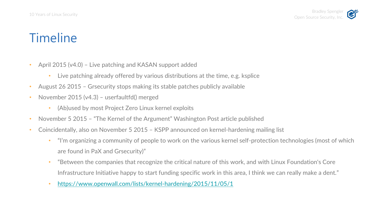- April 2015 (v4.0) Live patching and KASAN support added
	- Live patching already offered by various distributions at the time, e.g. ksplice
- August 26 2015 Grsecurity stops making its stable patches publicly available
- November 2015 (v4.3) userfaultfd() merged
	- (Ab)used by most Project Zero Linux kernel exploits
- November 5 2015 "The Kernel of the Argument" Washington Post article published
- Coincidentally, also on November 5 2015 KSPP announced on kernel-hardening mailing list
	- "I'm organizing a community of people to work on the various kernel self-protection technologies (most of which are found in PaX and Grsecurity)"
	- "Between the companies that recognize the critical nature of this work, and with Linux Foundation's Core Infrastructure Initiative happy to start funding specific work in this area, I think we can really make a dent."
	- <https://www.openwall.com/lists/kernel-hardening/2015/11/05/1>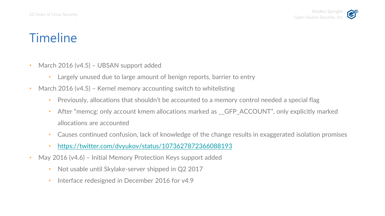- March 2016 (v4.5) UBSAN support added
	- Largely unused due to large amount of benign reports, barrier to entry
- March 2016 (v4.5) Kernel memory accounting switch to whitelisting
	- Previously, allocations that shouldn't be accounted to a memory control needed a special flag
	- After "memcg: only account kmem allocations marked as GFP ACCOUNT", only explicitly marked allocations are accounted
	- Causes continued confusion, lack of knowledge of the change results in exaggerated isolation promises
	- <https://twitter.com/dvyukov/status/1073627872366088193>
- May 2016 (v4.6) Initial Memory Protection Keys support added
	- Not usable until Skylake-server shipped in Q2 2017
	- Interface redesigned in December 2016 for v4.9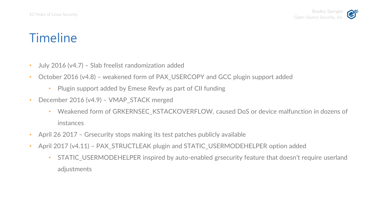- July 2016 (v4.7) Slab freelist randomization added
- October 2016 (v4.8) weakened form of PAX\_USERCOPY and GCC plugin support added
	- Plugin support added by Emese Revfy as part of CII funding
- December 2016 (v4.9) VMAP\_STACK merged
	- Weakened form of GRKERNSEC\_KSTACKOVERFLOW, caused DoS or device malfunction in dozens of instances
- April 26 2017 Grsecurity stops making its test patches publicly available
- April 2017 (v4.11) PAX\_STRUCTLEAK plugin and STATIC\_USERMODEHELPER option added
	- STATIC\_USERMODEHELPER inspired by auto-enabled grsecurity feature that doesn't require userland adjustments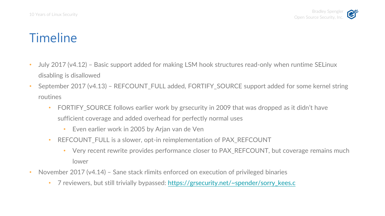- July 2017 (v4.12) Basic support added for making LSM hook structures read-only when runtime SELinux disabling is disallowed
- September 2017 (v4.13) REFCOUNT\_FULL added, FORTIFY\_SOURCE support added for some kernel string routines
	- FORTIFY SOURCE follows earlier work by grsecurity in 2009 that was dropped as it didn't have sufficient coverage and added overhead for perfectly normal uses
		- Even earlier work in 2005 by Arjan van de Ven
	- REFCOUNT FULL is a slower, opt-in reimplementation of PAX REFCOUNT
		- Very recent rewrite provides performance closer to PAX\_REFCOUNT, but coverage remains much lower
- November 2017 (v4.14) Sane stack rlimits enforced on execution of privileged binaries
	- 7 reviewers, but still trivially bypassed: [https://grsecurity.net/~spender/sorry\\_kees.c](https://grsecurity.net/~spender/sorry_kees.c)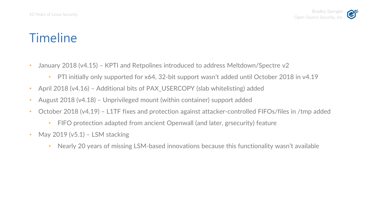- January 2018 (v4.15) KPTI and Retpolines introduced to address Meltdown/Spectre v2
	- PTI initially only supported for x64, 32-bit support wasn't added until October 2018 in v4.19
- April 2018 (v4.16) Additional bits of PAX\_USERCOPY (slab whitelisting) added
- August 2018 (v4.18) Unprivileged mount (within container) support added
- October 2018 (v4.19) L1TF fixes and protection against attacker-controlled FIFOs/files in /tmp added
	- FIFO protection adapted from ancient Openwall (and later, grsecurity) feature
- May 2019 ( $v5.1$ ) LSM stacking
	- Nearly 20 years of missing LSM-based innovations because this functionality wasn't available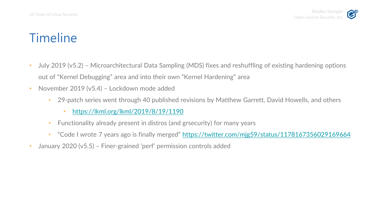- July 2019 (v5.2) Microarchitectural Data Sampling (MDS) fixes and reshuffling of existing hardening options out of "Kernel Debugging" area and into their own "Kernel Hardening" area
- November 2019 (v5.4) Lockdown mode added
	- 29-patch series went through 40 published revisions by Matthew Garrett, David Howells, and others
		- <https://lkml.org/lkml/2019/8/19/1190>
	- Functionality already present in distros (and grsecurity) for many years
	- "Code I wrote 7 years ago is finally merged" <https://twitter.com/mjg59/status/1178167356029169664>
- January 2020 (v5.5) Finer-grained 'perf' permission controls added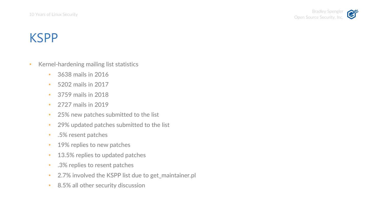- Kernel-hardening mailing list statistics
	- 3638 mails in 2016
	- 5202 mails in 2017
	- 3759 mails in 2018
	- 2727 mails in 2019
	- 25% new patches submitted to the list
	- 29% updated patches submitted to the list
	- .5% resent patches
	- 19% replies to new patches
	- 13.5% replies to updated patches
	- .3% replies to resent patches
	- 2.7% involved the KSPP list due to get\_maintainer.pl
	- 8.5% all other security discussion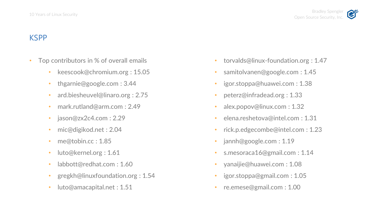- Top contributors in % of overall emails
	- keescook@chromium.org: 15.05
	- thgarnie@google.com : 3.44
	- ard.biesheuvel@linaro.org : 2.75
	- mark.rutland@arm.com : 2.49
	- jason@zx2c4.com : 2.29
	- mic@digikod.net : 2.04
	- me@tobin.cc: 1.85
	- luto@kernel.org : 1.61
	- labbott@redhat.com: 1.60
	- gregkh@linuxfoundation.org : 1.54
	- luto@amacapital.net : 1.51
- torvalds@linux-foundation.org : 1.47
- samitolvanen@google.com : 1.45
- igor.stoppa@huawei.com : 1.38
- peterz@infradead.org : 1.33
- alex.popov@linux.com : 1.32
- elena.reshetova@intel.com : 1.31
- rick.p.edgecombe@intel.com : 1.23
- jannh@google.com : 1.19
- s.mesoraca16@gmail.com : 1.14
- yanaijie@huawei.com : 1.08
- igor.stoppa@gmail.com : 1.05
- re.emese@gmail.com : 1.00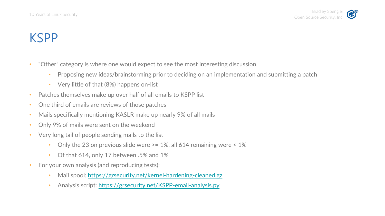- "Other" category is where one would expect to see the most interesting discussion
	- Proposing new ideas/brainstorming prior to deciding on an implementation and submitting a patch
	- Very little of that (8%) happens on-list
- Patches themselves make up over half of all emails to KSPP list
- One third of emails are reviews of those patches
- Mails specifically mentioning KASLR make up nearly 9% of all mails
- Only 9% of mails were sent on the weekend
- Very long tail of people sending mails to the list
	- Only the 23 on previous slide were  $\ge$  = 1%, all 614 remaining were  $\le$  1%
	- Of that 614, only 17 between .5% and 1%
- For your own analysis (and reproducing tests):
	- Mail spool:<https://grsecurity.net/kernel-hardening-cleaned.gz>
	- Analysis script: <https://grsecurity.net/KSPP-email-analysis.py>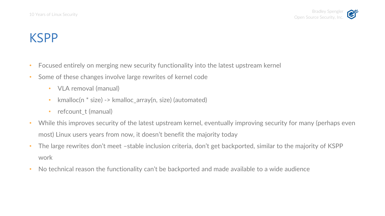- Focused entirely on merging new security functionality into the latest upstream kernel
- Some of these changes involve large rewrites of kernel code
	- VLA removal (manual)
	- kmalloc(n \* size) -> kmalloc\_array(n, size) (automated)
	- refcount t (manual)
- While this improves security of the latest upstream kernel, eventually improving security for many (perhaps even most) Linux users years from now, it doesn't benefit the majority today
- The large rewrites don't meet –stable inclusion criteria, don't get backported, similar to the majority of KSPP work
- No technical reason the functionality can't be backported and made available to a wide audience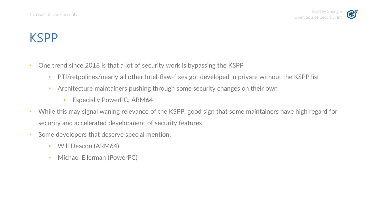- One trend since 2018 is that a lot of security work is bypassing the KSPP
	- PTI/retpolines/nearly all other Intel-flaw-fixes got developed in private without the KSPP list
	- Architecture maintainers pushing through some security changes on their own
		- Especially PowerPC, ARM64
- While this may signal waning relevance of the KSPP, good sign that some maintainers have high regard for security and accelerated development of security features
- Some developers that deserve special mention:
	- Will Deacon (ARM64)
	- Michael Ellerman (PowerPC)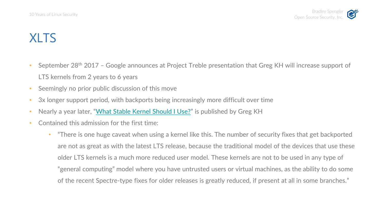- September 28th 2017 Google announces at Project Treble presentation that Greg KH will increase support of LTS kernels from 2 years to 6 years
- Seemingly no prior public discussion of this move
- 3x longer support period, with backports being increasingly more difficult over time
- Nearly a year later, "[What Stable Kernel Should I Use?](http://kroah.com/log/blog/2018/08/24/what-stable-kernel-should-i-use/)" is published by Greg KH
- Contained this admission for the first time:
	- "There is one huge caveat when using a kernel like this. The number of security fixes that get backported are not as great as with the latest LTS release, because the traditional model of the devices that use these older LTS kernels is a much more reduced user model. These kernels are not to be used in any type of "general computing" model where you have untrusted users or virtual machines, as the ability to do some of the recent Spectre-type fixes for older releases is greatly reduced, if present at all in some branches."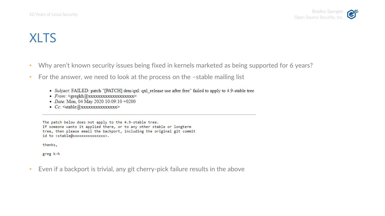- Why aren't known security issues being fixed in kernels marketed as being supported for 6 years?
- For the answer, we need to look at the process on the -stable mailing list
	- Subject: FAILED: patch "[PATCH] drm/qxl: qxl\_release use after free" failed to apply to 4.9-stable tree
	- · From: <gregkh@xxxxxxxxxxxxxxxxxxxx
	- Date: Mon, 04 May 2020 10:09:10 +0200
	- Cc: <stable@xxxxxxxxxxxxxxxx

The patch below does not apply to the 4.9-stable tree. If someone wants it applied there, or to any other stable or longterm tree, then please email the backport, including the original git commit id to <stable@xxxxxxxxxxxxxxxx.

thanks,

greg k-h

• Even if a backport is trivial, any git cherry-pick failure results in the above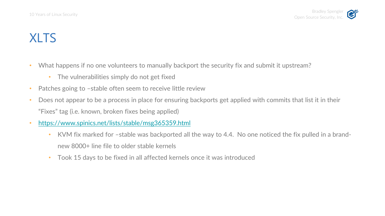- What happens if no one volunteers to manually backport the security fix and submit it upstream?
	- The vulnerabilities simply do not get fixed
- Patches going to -stable often seem to receive little review
- Does not appear to be a process in place for ensuring backports get applied with commits that list it in their "Fixes" tag (i.e. known, broken fixes being applied)
- <https://www.spinics.net/lists/stable/msg365359.html>
	- KVM fix marked for –stable was backported all the way to 4.4. No one noticed the fix pulled in a brandnew 8000+ line file to older stable kernels
	- Took 15 days to be fixed in all affected kernels once it was introduced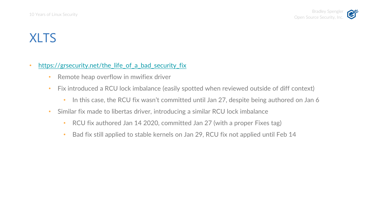### https://grsecurity.net/the life of a bad security fix

- Remote heap overflow in mwifiex driver
- Fix introduced a RCU lock imbalance (easily spotted when reviewed outside of diff context)
	- In this case, the RCU fix wasn't committed until Jan 27, despite being authored on Jan 6
- Similar fix made to libertas driver, introducing a similar RCU lock imbalance
	- RCU fix authored Jan 14 2020, committed Jan 27 (with a proper Fixes tag)
	- Bad fix still applied to stable kernels on Jan 29, RCU fix not applied until Feb 14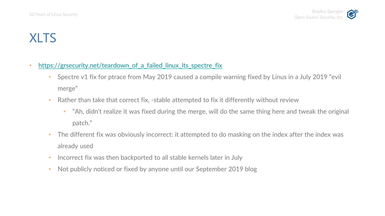- https://grsecurity.net/teardown of a failed linux Its spectre fix
	- Spectre v1 fix for ptrace from May 2019 caused a compile warning fixed by Linus in a July 2019 "evil merge"
	- Rather than take that correct fix, -stable attempted to fix it differently without review
		- "Ah, didn't realize it was fixed during the merge, will do the same thing here and tweak the original patch."
	- The different fix was obviously incorrect: it attempted to do masking on the index after the index was already used
	- Incorrect fix was then backported to all stable kernels later in July
	- Not publicly noticed or fixed by anyone until our September 2019 blog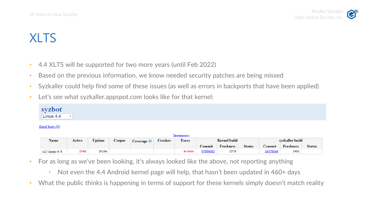- 4.4 XLTS will be supported for two more years (until Feb 2022)
- Based on the previous information, we know needed security patches are being missed
- Syzkaller could help find some of these issues (as well as errors in backports that have been applied)
- Let's see what syzkaller.appspot.com looks like for that kernel:

#### $fixed$  bugs  $(0)$

| lnstances:       |        |               |        |             |         |              |                     |                  |               |                 |                  |               |
|------------------|--------|---------------|--------|-------------|---------|--------------|---------------------|------------------|---------------|-----------------|------------------|---------------|
| <b>Name</b>      | Active | <b>Uptime</b> | Corpus | Coverage (D | Crashes | <b>Execs</b> | <b>Kernel build</b> |                  |               | svzkaller build |                  |               |
|                  |        |               |        |             |         |              | <i>⊇</i> ommit      | <b>Freshness</b> | <b>Status</b> | ∠ommit          | <b>Freshness</b> | <b>Status</b> |
| $ci2$ -linux-4-4 | 234d   | 2h26m         |        |             |         | broken       | 5f090d83            | 237d             |               | le9788a0        | 248d             |               |

- For as long as we've been looking, it's always looked like the above, not reporting anything
	- Not even the 4.4 Android kernel page will help, that hasn't been updated in 460+ days
- What the public thinks is happening in terms of support for these kernels simply doesn't match reality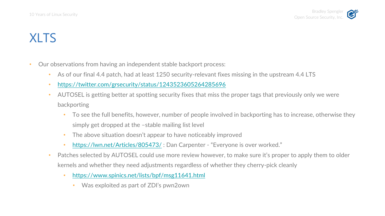- Our observations from having an independent stable backport process:
	- As of our final 4.4 patch, had at least 1250 security-relevant fixes missing in the upstream 4.4 LTS
	- <https://twitter.com/grsecurity/status/1243523605264285696>
	- AUTOSEL is getting better at spotting security fixes that miss the proper tags that previously only we were backporting
		- To see the full benefits, however, number of people involved in backporting has to increase, otherwise they simply get dropped at the –stable mailing list level
		- The above situation doesn't appear to have noticeably improved
		- <https://lwn.net/Articles/805473/>: Dan Carpenter "Everyone is over worked."
	- Patches selected by AUTOSEL could use more review however, to make sure it's proper to apply them to older kernels and whether they need adjustments regardless of whether they cherry-pick cleanly
		- <https://www.spinics.net/lists/bpf/msg11641.html>
			- Was exploited as part of ZDI's pwn2own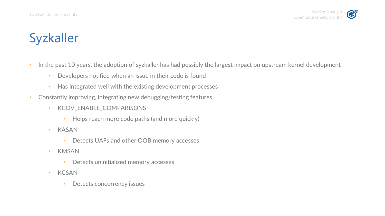### Syzkaller

- In the past 10 years, the adoption of syzkaller has had possibly the largest impact on upstream kernel development
	- Developers notified when an issue in their code is found
	- Has integrated well with the existing development processes
- Constantly improving, integrating new debugging/testing features
	- KCOV\_ENABLE\_COMPARISONS
		- Helps reach more code paths (and more quickly)
	- KASAN
		- Detects UAFs and other OOB memory accesses
	- KMSAN
		- Detects uninitialized memory accesses
	- KCSAN
		- Detects concurrency issues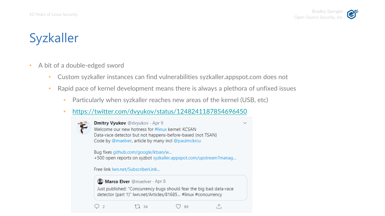### Syzkaller

- A bit of a double-edged sword
	- Custom syzkaller instances can find vulnerabilities syzkaller.appspot.com does not
	- Rapid pace of kernel development means there is always a plethora of unfixed issues

 $\checkmark$ 

- Particularly when syzkaller reaches new areas of the kernel (USB, etc)
- <https://twitter.com/dvyukov/status/1248241187854696450>



 $Q<sub>2</sub>$ 

Dmitry Vyukov @dvyukov · Apr 9 Welcome our new hotness for #linux kernel: KCSAN Data-race detector but not happens-before-based (not TSAN) Code by @maelver, article by many incl @paulmckrcu Bug fixes github.com/google/ktsan/w...

+500 open reports on syzbot syzkaller.appspot.com/upstream?manag...

Free link lwn.net/SubscriberLink...

#### Marco Elver @maelver · Apr 8

 $17.34$ 

Just published: "Concurrency bugs should fear the big bad data-race detector (part 1)" lwn.net/Articles/81685... #linux #concurrency

 $O89$ 

⚠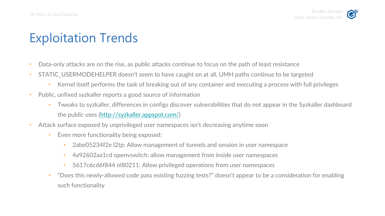# Exploitation Trends

- Data-only attacks are on the rise, as public attacks continue to focus on the path of least resistance
- STATIC USERMODEHELPER doesn't seem to have caught on at all, UMH paths continue to be targeted
	- Kernel itself performs the task of breaking out of any container and executing a process with full privileges
- Public, unfixed syzkaller reports a good source of information
	- Tweaks to syzkaller, differences in configs discover vulnerabilities that do not appear in the Syzkaller dashboard the public uses (<http://syzkaller.appspot.com/>)
- Attack surface exposed by unprivileged user namespaces isn't decreasing anytime soon
	- Even more functionality being exposed:
		- 2abe05234f2e l2tp: Allow management of tunnels and session in user namespace
		- 4a92602aa1cd openvswitch: allow management from inside user namespaces
		- 5617c6cd6f844 nl80211: Allow privileged operations from user namespaces
	- "Does this newly-allowed code pass existing fuzzing tests?" doesn't appear to be a consideration for enabling such functionality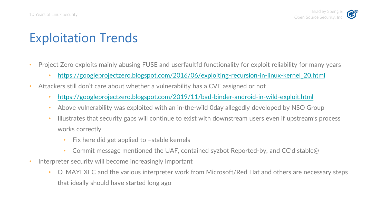# Exploitation Trends

- Project Zero exploits mainly abusing FUSE and userfaultfd functionality for exploit reliability for many years
	- [https://googleprojectzero.blogspot.com/2016/06/exploiting-recursion-in-linux-kernel\\_20.html](https://googleprojectzero.blogspot.com/2016/06/exploiting-recursion-in-linux-kernel_20.html)
- Attackers still don't care about whether a vulnerability has a CVE assigned or not
	- <https://googleprojectzero.blogspot.com/2019/11/bad-binder-android-in-wild-exploit.html>
	- Above vulnerability was exploited with an in-the-wild Oday allegedly developed by NSO Group
	- Illustrates that security gaps will continue to exist with downstream users even if upstream's process works correctly
		- Fix here did get applied to -stable kernels
		- Commit message mentioned the UAF, contained syzbot Reported-by, and CC'd stable@
- Interpreter security will become increasingly important
	- O\_MAYEXEC and the various interpreter work from Microsoft/Red Hat and others are necessary steps that ideally should have started long ago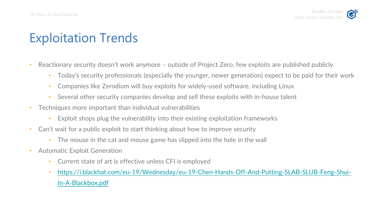# Exploitation Trends

- Reactionary security doesn't work anymore outside of Project Zero, few exploits are published publicly
	- Today's security professionals (especially the younger, newer generation) expect to be paid for their work
	- Companies like Zerodium will buy exploits for widely-used software, including Linux
	- Several other security companies develop and sell these exploits with in-house talent
- Techniques more important than individual vulnerabilities
	- Exploit shops plug the vulnerability into their existing exploitation frameworks
- Can't wait for a public exploit to start thinking about how to improve security
	- The mouse in the cat and mouse game has slipped into the hole in the wall
- Automatic Exploit Generation
	- Current state of art is effective unless CFI is employed
	- [https://i.blackhat.com/eu-19/Wednesday/eu-19-Chen-Hands-Off-And-Putting-SLAB-SLUB-Feng-Shui-](https://i.blackhat.com/eu-19/Wednesday/eu-19-Chen-Hands-Off-And-Putting-SLAB-SLUB-Feng-Shui-In-A-Blackbox.pdf)In-A-Blackbox.pdf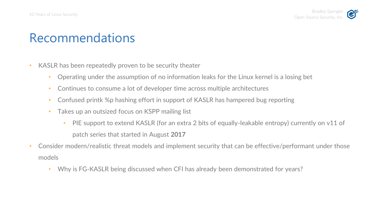- KASLR has been repeatedly proven to be security theater
	- Operating under the assumption of no information leaks for the Linux kernel is a losing bet
	- Continues to consume a lot of developer time across multiple architectures
	- Confused printk %p hashing effort in support of KASLR has hampered bug reporting
	- Takes up an outsized focus on KSPP mailing list
		- PIE support to extend KASLR (for an extra 2 bits of equally-leakable entropy) currently on v11 of patch series that started in August **2017**
- Consider modern/realistic threat models and implement security that can be effective/performant under those models
	- Why is FG-KASLR being discussed when CFI has already been demonstrated for years?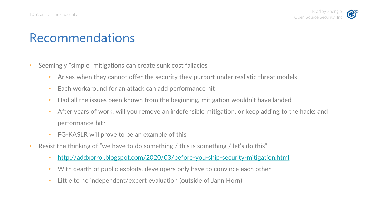- Seemingly "simple" mitigations can create sunk cost fallacies
	- Arises when they cannot offer the security they purport under realistic threat models
	- Each workaround for an attack can add performance hit
	- Had all the issues been known from the beginning, mitigation wouldn't have landed
	- After years of work, will you remove an indefensible mitigation, or keep adding to the hacks and performance hit?
	- FG-KASLR will prove to be an example of this
- Resist the thinking of "we have to do something / this is something / let's do this"
	- <http://addxorrol.blogspot.com/2020/03/before-you-ship-security-mitigation.html>
	- With dearth of public exploits, developers only have to convince each other
	- Little to no independent/expert evaluation (outside of Jann Horn)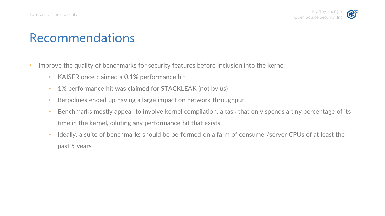- Improve the quality of benchmarks for security features before inclusion into the kernel
	- KAISER once claimed a 0.1% performance hit
	- 1% performance hit was claimed for STACKLEAK (not by us)
	- Retpolines ended up having a large impact on network throughput
	- Benchmarks mostly appear to involve kernel compilation, a task that only spends a tiny percentage of its time in the kernel, diluting any performance hit that exists
	- Ideally, a suite of benchmarks should be performed on a farm of consumer/server CPUs of at least the past 5 years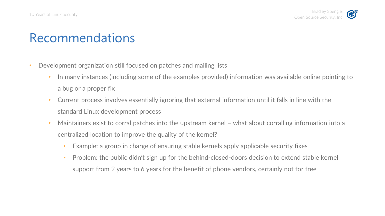- Development organization still focused on patches and mailing lists
	- In many instances (including some of the examples provided) information was available online pointing to a bug or a proper fix
	- Current process involves essentially ignoring that external information until it falls in line with the standard Linux development process
	- Maintainers exist to corral patches into the upstream kernel what about corralling information into a centralized location to improve the quality of the kernel?
		- Example: a group in charge of ensuring stable kernels apply applicable security fixes
		- Problem: the public didn't sign up for the behind-closed-doors decision to extend stable kernel support from 2 years to 6 years for the benefit of phone vendors, certainly not for free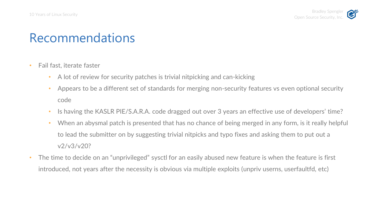- Fail fast, iterate faster
	- A lot of review for security patches is trivial nitpicking and can-kicking
	- Appears to be a different set of standards for merging non-security features vs even optional security code
	- Is having the KASLR PIE/S.A.R.A. code dragged out over 3 years an effective use of developers' time?
	- When an abysmal patch is presented that has no chance of being merged in any form, is it really helpful to lead the submitter on by suggesting trivial nitpicks and typo fixes and asking them to put out a v2/v3/v20?
- The time to decide on an "unprivileged" sysctl for an easily abused new feature is when the feature is first introduced, not years after the necessity is obvious via multiple exploits (unpriv userns, userfaultfd, etc)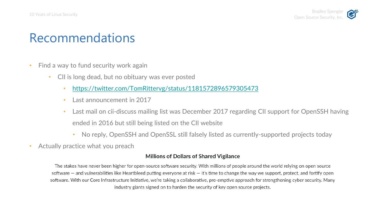- Find a way to fund security work again
	- CII is long dead, but no obituary was ever posted
		- <https://twitter.com/TomRittervg/status/1181572896579305473>
		- Last announcement in 2017
		- Last mail on cii-discuss mailing list was December 2017 regarding CII support for OpenSSH having ended in 2016 but still being listed on the CII website
			- No reply, OpenSSH and OpenSSL still falsely listed as currently-supported projects today
- Actually practice what you preach

### **Millions of Dollars of Shared Vigilance**

The stakes have never been higher for open-source software security. With millions of people around the world relying on open source software  $-$  and vulnerabilities like Heartbleed putting everyone at risk  $-$  it's time to change the way we support, protect, and fortify open software. With our Core Infrastructure Initiative, we're taking a collaborative, pre-emptive approach for strengthening cyber security. Many industry giants signed on to harden the security of key open source projects.